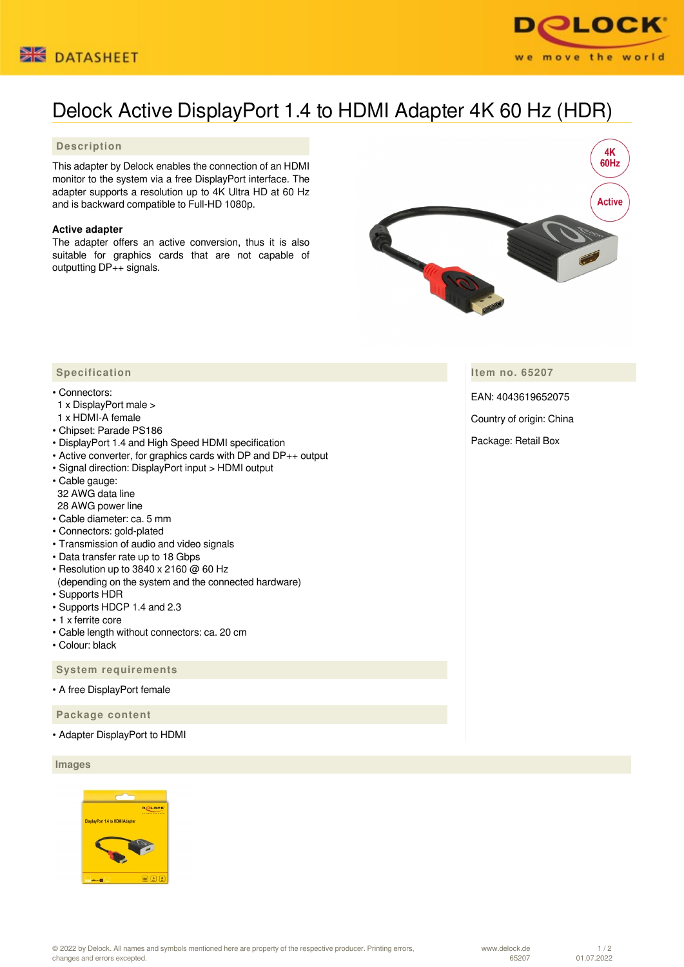



# Delock Active DisplayPort 1.4 to HDMI Adapter 4K 60 Hz (HDR)

### **Description**

This adapter by Delock enables the connection of an HDMI monitor to the system via a free DisplayPort interface. The adapter supports a resolution up to 4K Ultra HD at 60 Hz and is backward compatible to Full-HD 1080p.

#### **Active adapter**

The adapter offers an active conversion, thus it is also suitable for graphics cards that are not capable of outputting DP++ signals.



**Item no. 65207**

EAN: 4043619652075

Country of origin: China

Package: Retail Box

## **Specification**

#### • Connectors:

- 1 x DisplayPort male >
- 1 x HDMI-A female
- Chipset: Parade PS186
- DisplayPort 1.4 and High Speed HDMI specification
- Active converter, for graphics cards with DP and DP++ output
- Signal direction: DisplayPort input > HDMI output
- Cable gauge:
- 32 AWG data line
- 28 AWG power line
- Cable diameter: ca. 5 mm • Connectors: gold-plated
- 
- Transmission of audio and video signals
- Data transfer rate up to 18 Gbps • Resolution up to 3840 x 2160 @ 60 Hz
- (depending on the system and the connected hardware)
- Supports HDR
- Supports HDCP 1.4 and 2.3
- 1 x ferrite core
- Cable length without connectors: ca. 20 cm
- Colour: black

 **System requirements**

• A free DisplayPort female

 **Package content**

• Adapter DisplayPort to HDMI

 **Images**